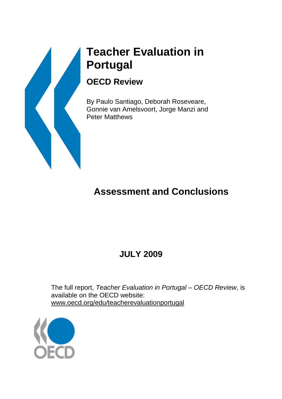# **Teacher Evaluation in Portugal**

### **OECD Review**

By Paulo Santiago, Deborah Roseveare, Gonnie van Amelsvoort, Jorge Manzi and Peter Matthews

# **Assessment and Conclusions**

## **JULY 2009**

The full report, *Teacher Evaluation in Portugal – OECD Review*, is available on the OECD website: www.oecd.org/edu/teacherevaluationportugal

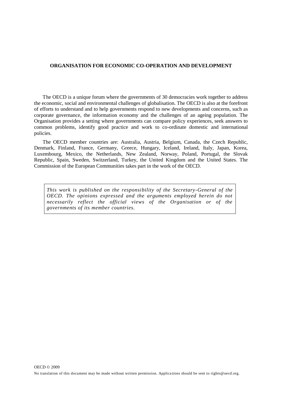#### **ORGANISATION FOR ECONOMIC CO-OPERATION AND DEVELOPMENT**

The OECD is a unique forum where the governments of 30 democracies work together to address the economic, social and environmental challenges of globalisation. The OECD is also at the forefront of efforts to understand and to help governments respond to new developments and concerns, such as corporate governance, the information economy and the challenges of an ageing population. The Organisation provides a setting where governments can compare policy experiences, seek answers to common problems, identify good practice and work to co-ordinate domestic and international policies.

The OECD member countries are: Australia, Austria, Belgium, Canada, the Czech Republic, Denmark, Finland, France, Germany, Greece, Hungary, Iceland, Ireland, Italy, Japan, Korea, Luxembourg, Mexico, the Netherlands, New Zealand, Norway, Poland, Portugal, the Slovak Republic, Spain, Sweden, Switzerland, Turkey, the United Kingdom and the United States. The Commission of the European Communities takes part in the work of the OECD.

*This work is published on the responsibility of the Secretary-General of the OECD. The opinions expressed and the arguments employed herein do not necessarily reflect the official views of the Organisation or of the governments of its member countries.*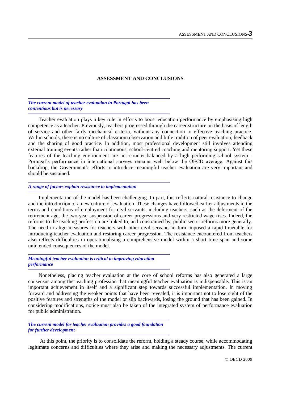#### **ASSESSMENT AND CONCLUSIONS**

*The current model of teacher evaluation in Portugal has been contentious but is necessary*

Teacher evaluation plays a key role in efforts to boost education performance by emphasising high competence as a teacher. Previously, teachers progressed through the career structure on the basis of length of service and other fairly mechanical criteria, without any connection to effective teaching practice. Within schools, there is no culture of classroom observation and little tradition of peer evaluation, feedback and the sharing of good practice. In addition, most professional development still involves attending external training events rather than continuous, school-centred coaching and mentoring support. Yet these features of the teaching environment are not counter-balanced by a high performing school system - Portugal's performance in international surveys remains well below the OECD average. Against this backdrop, the Government"s efforts to introduce meaningful teacher evaluation are very important and should be sustained.

#### *A range of factors explain resistance to implementation*

Implementation of the model has been challenging. In part, this reflects natural resistance to change and the introduction of a new culture of evaluation. These changes have followed earlier adjustments in the terms and conditions of employment for civil servants, including teachers, such as the deferment of the retirement age, the two-year suspension of career progressions and very restricted wage rises. Indeed, the reforms to the teaching profession are linked to, and constrained by, public sector reforms more generally. The need to align measures for teachers with other civil servants in turn imposed a rapid timetable for introducing teacher evaluation and restoring career progression. The resistance encountered from teachers also reflects difficulties in operationalising a comprehensive model within a short time span and some unintended consequences of the model.

*Meaningful teacher evaluation is critical to improving education performance* 

Nonetheless, placing teacher evaluation at the core of school reforms has also generated a large consensus among the teaching profession that meaningful teacher evaluation is indispensable. This is an important achievement in itself and a significant step towards successful implementation. In moving forward and addressing the weaker points that have been revealed, it is important not to lose sight of the positive features and strengths of the model or slip backwards, losing the ground that has been gained. In considering modifications, notice must also be taken of the integrated system of performance evaluation for public administration.

*The current model for teacher evaluation provides a good foundation for further development*

At this point, the priority is to consolidate the reform, holding a steady course, while accommodating legitimate concerns and difficulties where they arise and making the necessary adjustments. The current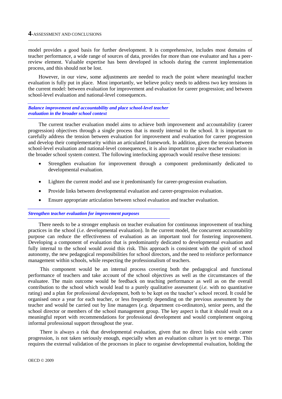model provides a good basis for further development. It is comprehensive, includes most domains of teacher performance, a wide range of sources of data, provides for more than one evaluator and has a peerreview element. Valuable expertise has been developed in schools during the current implementation process, and this should not be lost.

However, in our view, some adjustments are needed to reach the point where meaningful teacher evaluation is fully put in place. Most importantly, we believe policy needs to address two key tensions in the current model: between evaluation for improvement and evaluation for career progression; and between school-level evaluation and national-level consequences.

*Balance improvement and accountability and place school-level teacher evaluation in the broader school context*

The current teacher evaluation model aims to achieve both improvement and accountability (career progression) objectives through a single process that is mostly internal to the school. It is important to carefully address the tension between evaluation for improvement and evaluation for career progression and develop their complementarity within an articulated framework. In addition, given the tension between school-level evaluation and national-level consequences, it is also important to place teacher evaluation in the broader school system context. The following interlocking approach would resolve these tensions:

- Strengthen evaluation for improvement through a component predominantly dedicated to developmental evaluation.
- Lighten the current model and use it predominantly for career-progression evaluation.
- Provide links between developmental evaluation and career-progression evaluation.
- Ensure appropriate articulation between school evaluation and teacher evaluation.

#### *Strengthen teacher evaluation for improvement purposes*

There needs to be a stronger emphasis on teacher evaluation for continuous improvement of teaching practices in the school (*i.e.* developmental evaluation). In the current model, the concurrent accountability purpose can reduce the effectiveness of evaluation as an important tool for fostering improvement. Developing a component of evaluation that is predominantly dedicated to developmental evaluation and fully internal to the school would avoid this risk. This approach is consistent with the spirit of school autonomy, the new pedagogical responsibilities for school directors, and the need to reinforce performance management within schools, while respecting the professionalism of teachers.

This component would be an internal process covering both the pedagogical and functional performance of teachers and take account of the school objectives as well as the circumstances of the evaluatee. The main outcome would be feedback on teaching performance as well as on the overall contribution to the school which would lead to a purely qualitative assessment (*i.e.* with no quantitative rating) and a plan for professional development, both to be kept on the teacher"s school record. It could be organised once a year for each teacher, or less frequently depending on the previous assessment by the teacher and would be carried out by line managers (*e.g.* department co-ordinators), senior peers, and the school director or members of the school management group. The key aspect is that it should result on a meaningful report with recommendations for professional development and would complement ongoing informal professional support throughout the year.

There is always a risk that developmental evaluation, given that no direct links exist with career progression, is not taken seriously enough, especially when an evaluation culture is yet to emerge. This requires the external validation of the processes in place to organise developmental evaluation, holding the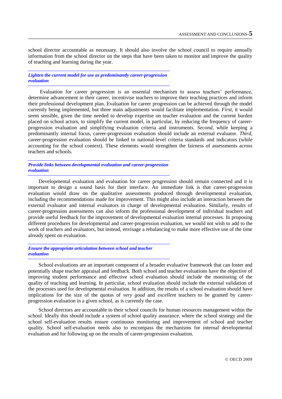school director accountable as necessary. It should also involve the school council to require annually information from the school director on the steps that have been taken to monitor and improve the quality of teaching and learning during the year.

*Lighten the current model for use as predominantly career-progression evaluation*

Evaluation for career progression is an essential mechanism to assess teachers" performance, determine advancement in their career, incentivise teachers to improve their teaching practices and inform their professional development plan. Evaluation for career progression can be achieved through the model currently being implemented, but three main adjustments would facilitate implementation. *First*, it would seem sensible, given the time needed to develop expertise on teacher evaluation and the current burden placed on school actors, to simplify the current model, in particular, by reducing the frequency of careerprogression evaluation and simplifying evaluation criteria and instruments. *Second*, while keeping a predominantly internal focus, career-progression evaluation should include an external evaluator. *Third*, career-progression evaluation should be linked to national-level criteria standards and indicators (while accounting for the school context). These elements would strengthen the fairness of assessments across teachers and schools.

*Provide links between developmental evaluation and career-progression evaluation*

Developmental evaluation and evaluation for career progression should remain connected and it is important to design a sound basis for their interface. An immediate link is that career-progression evaluation would draw on the qualitative assessments produced through developmental evaluation, including the recommendations made for improvement. This might also include an interaction between the external evaluator and internal evaluators in charge of developmental evaluation. Similarly, results of career-progression assessments can also inform the professional development of individual teachers and provide useful feedback for the improvement of developmental evaluation internal processes. In proposing different procedures for developmental and career-progression evaluation, we would not wish to add to the work of teachers and evaluators, but instead, envisage a rebalancing to make more effective use of the time already spent on evaluation.

*Ensure the appropriate articulation between school and teacher evaluation*

School evaluations are an important component of a broader evaluative framework that can foster and potentially shape teacher appraisal and feedback. Both school and teacher evaluations have the objective of improving student performance and effective school evaluation should include the monitoring of the quality of teaching and learning. In particular, school evaluation should include the external validation of the processes used for developmental evaluation. In addition, the results of a school evaluation should have implications for the size of the quotas of *very good* and *excellent* teachers to be granted by careerprogression evaluation in a given school, as is currently the case.

School directors are accountable to their school councils for human resources management within the school. Ideally this should include a system of school quality assurance, where the school strategy and the school self-evaluation results ensure continuous monitoring and improvement of school and teacher quality. School self-evaluation needs also to encompass the mechanisms for internal developmental evaluation and for following up on the results of career-progression evaluation.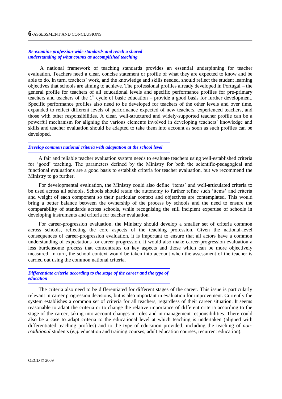#### *Re-examine profession-wide standards and reach a shared understanding of what counts as accomplished teaching*

A national framework of teaching standards provides an essential underpinning for teacher evaluation. Teachers need a clear, concise statement or profile of what they are expected to know and be able to do. In turn, teachers' work, and the knowledge and skills needed, should reflect the student learning objectives that schools are aiming to achieve. The professional profiles already developed in Portugal – the general profile for teachers of all educational levels and specific performance profiles for pre-primary teachers and teachers of the  $1<sup>st</sup>$  cycle of basic education – provide a good basis for further development. Specific performance profiles also need to be developed for teachers of the other levels and over time, expanded to reflect different levels of performance expected of new teachers, experienced teachers, and those with other responsibilities. A clear, well-structured and widely-supported teacher profile can be a powerful mechanism for aligning the various elements involved in developing teachers" knowledge and skills and teacher evaluation should be adapted to take them into account as soon as such profiles can be developed.

#### *Develop common national criteria with adaptation at the school level*

A fair and reliable teacher evaluation system needs to evaluate teachers using well-established criteria for "good" teaching. The parameters defined by the Ministry for both the scientific-pedagogical and functional evaluations are a good basis to establish criteria for teacher evaluation, but we recommend the Ministry to go further.

For developmental evaluation, the Ministry could also define "items" and well-articulated criteria to be used across all schools. Schools should retain the autonomy to further refine such "items" and criteria and weight of each component so their particular context and objectives are contemplated. This would bring a better balance between the ownership of the process by schools and the need to ensure the comparability of standards across schools, while recognising the still incipient expertise of schools in developing instruments and criteria for teacher evaluation.

For career-progression evaluation, the Ministry should develop a smaller set of criteria common across schools, reflecting the core aspects of the teaching profession. Given the national-level consequences of career-progression evaluation, it is important to ensure that all actors have a common understanding of expectations for career progression. It would also make career-progression evaluation a less burdensome process that concentrates on key aspects and those which can be more objectively measured. In turn, the school context would be taken into account when the assessment of the teacher is carried out using the common national criteria.

*Differentiate criteria according to the stage of the career and the type of education*

The criteria also need to be differentiated for different stages of the career. This issue is particularly relevant in career progression decisions, but is also important in evaluation for improvement. Currently the system establishes a common set of criteria for all teachers, regardless of their career situation. It seems reasonable to adapt the criteria or to change the relative importance of different criteria according to the stage of the career, taking into account changes in roles and in management responsibilities. There could also be a case to adapt criteria to the educational level at which teaching is undertaken (aligned with differentiated teaching profiles) and to the type of education provided, including the teaching of *nontraditional* students (*e.g.* education and training courses, adult education courses, recurrent education).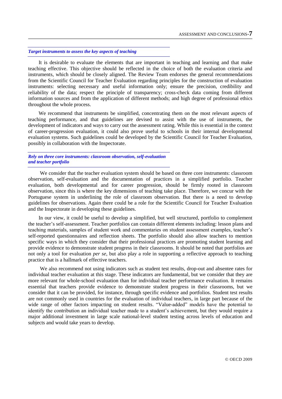#### *Target instruments to assess the key aspects of teaching*

It is desirable to evaluate the elements that are important in teaching and learning and that make teaching effective. This objective should be reflected in the choice of both the evaluation criteria and instruments, which should be closely aligned. The Review Team endorses the general recommendations from the Scientific Council for Teacher Evaluation regarding principles for the construction of evaluation instruments: selecting necessary and useful information only; ensure the precision, credibility and reliability of the data; respect the principle of transparency; cross-check data coming from different information sources and from the application of different methods; and high degree of professional ethics throughout the whole process.

We recommend that instruments be simplified, concentrating them on the most relevant aspects of teaching performance, and that guidelines are devised to assist with the use of instruments, the development of indicators and ways to carry out the assessment rating. While this is essential in the context of career-progression evaluation, it could also prove useful to schools in their internal developmental evaluation systems. Such guidelines could be developed by the Scientific Council for Teacher Evaluation, possibly in collaboration with the Inspectorate.

#### *Rely on three core instruments: classroom observation, self-evaluation and teacher portfolio*

We consider that the teacher evaluation system should be based on three core instruments: classroom observation, self-evaluation and the documentation of practices in a simplified portfolio. Teacher evaluation, both developmental and for career progression, should be firmly rooted in classroom observation, since this is where the key dimensions of teaching take place. Therefore, we concur with the Portuguese system in underlining the role of classroom observation. But there is a need to develop guidelines for observations. Again there could be a role for the Scientific Council for Teacher Evaluation and the Inspectorate in developing these guidelines.

In our view, it could be useful to develop a simplified, but well structured, portfolio to complement the teacher"s self-assessment. Teacher portfolios can contain different elements including: lesson plans and teaching materials, samples of student work and commentaries on student assessment examples, teacher"s self-reported questionnaires and reflection sheets. The portfolio should also allow teachers to mention specific ways in which they consider that their professional practices are promoting student learning and provide evidence to demonstrate student progress in their classrooms. It should be noted that portfolios are not only a tool for evaluation *per se*, but also play a role in supporting a reflective approach to teaching practice that is a hallmark of effective teachers.

We also recommend not using indicators such as student test results, drop-out and absentee rates for individual teacher evaluation at this stage. These indicators are fundamental, but we consider that they are more relevant for whole-school evaluation than for individual teacher performance evaluation. It remains essential that teachers provide evidence to demonstrate student progress in their classrooms, but we consider that it can be provided, for instance, through specific evidence and portfolios. Student test results are not commonly used in countries for the evaluation of individual teachers, in large part because of the wide range of other factors impacting on student results. "Value-added" models have the potential to identify the contribution an individual teacher made to a student"s achievement, but they would require a major additional investment in large scale national-level student testing across levels of education and subjects and would take years to develop.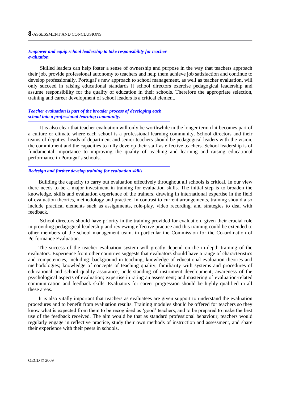*Empower and equip school leadership to take responsibility for teacher evaluation*

Skilled leaders can help foster a sense of ownership and purpose in the way that teachers approach their job, provide professional autonomy to teachers and help them achieve job satisfaction and continue to develop professionally. Portugal's new approach to school management, as well as teacher evaluation, will only succeed in raising educational standards if school directors exercise pedagogical leadership and assume responsibility for the quality of education in their schools. Therefore the appropriate selection, training and career development of school leaders is a critical element.

*Teacher evaluation is part of the broader process of developing each school into a professional learning community.* 

It is also clear that teacher evaluation will only be worthwhile in the longer term if it becomes part of a culture or climate where each school is a professional learning community. School directors and their teams of deputies, heads of department and senior teachers should be pedagogical leaders with the vision, the commitment and the capacities to fully develop their staff as effective teachers. School leadership is of fundamental importance to improving the quality of teaching and learning and raising educational performance in Portugal's schools.

#### *Redesign and further develop training for evaluation skills*

Building the capacity to carry out evaluation effectively throughout all schools is critical. In our view there needs to be a major investment in training for evaluation skills. The initial step is to broaden the knowledge, skills and evaluation experience of the trainers, drawing in international expertise in the field of evaluation theories, methodology and practice. In contrast to current arrangements, training should also include practical elements such as assignments, role-play, video recording, and strategies to deal with feedback.

School directors should have priority in the training provided for evaluation, given their crucial role in providing pedagogical leadership and reviewing effective practice and this training could be extended to other members of the school management team, in particular the Commission for the Co-ordination of Performance Evaluation.

The success of the teacher evaluation system will greatly depend on the in-depth training of the evaluators. Experience from other countries suggests that evaluators should have a range of characteristics and competencies, including: background in teaching; knowledge of educational evaluation theories and methodologies; knowledge of concepts of teaching quality; familiarity with systems and procedures of educational and school quality assurance; understanding of instrument development; awareness of the psychological aspects of evaluation; expertise in rating an assessment; and mastering of evaluation-related communication and feedback skills. Evaluators for career progression should be highly qualified in all these areas.

It is also vitally important that teachers as evaluatees are given support to understand the evaluation procedures and to benefit from evaluation results. Training modules should be offered for teachers so they know what is expected from them to be recognised as "good" teachers, and to be prepared to make the best use of the feedback received. The aim would be that as standard professional behaviour, teachers would regularly engage in reflective practice, study their own methods of instruction and assessment, and share their experience with their peers in schools.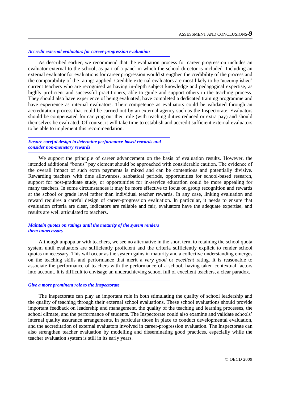#### *Accredit external evaluators for career-progression evaluation*

As described earlier, we recommend that the evaluation process for career progression includes an evaluator external to the school, as part of a panel in which the school director is included. Including an external evaluator for evaluations for career progression would strengthen the credibility of the process and the comparability of the ratings applied. Credible external evaluators are most likely to be "accomplished" current teachers who are recognised as having in-depth subject knowledge and pedagogical expertise, as highly proficient and successful practitioners, able to guide and support others in the teaching process. They should also have experience of being evaluated, have completed a dedicated training programme and have experience as internal evaluators. Their competence as evaluators could be validated through an accreditation process that could be carried out by an external agency such as the Inspectorate. Evaluators should be compensated for carrying out their role (with teaching duties reduced or extra pay) and should themselves be evaluated. Of course, it will take time to establish and accredit sufficient external evaluators to be able to implement this recommendation.

*Ensure careful design to determine performance-based rewards and consider non-monetary rewards*

We support the principle of career advancement on the basis of evaluation results. However, the intended additional "bonus" pay element should be approached with considerable caution. The evidence of the overall impact of such extra payments is mixed and can be contentious and potentially divisive. Rewarding teachers with time allowances, sabbatical periods, opportunities for school-based research, support for post-graduate study, or opportunities for in-service education could be more appealing for many teachers. In some circumstances it may be more effective to focus on group recognition and rewards at the school or grade level rather than individual teacher rewards. In any case, linking evaluation and reward requires a careful design of career-progression evaluation. In particular, it needs to ensure that evaluation criteria are clear, indicators are reliable and fair, evaluators have the adequate expertise, and results are well articulated to teachers.

*Maintain quotas on ratings until the maturity of the system renders them unnecessary*

Although unpopular with teachers, we see no alternative in the short term to retaining the school quota system until evaluators are sufficiently proficient and the criteria sufficiently explicit to render school quotas unnecessary. This will occur as the system gains in maturity and a collective understanding emerges on the teaching skills and performance that merit a *very good* or *excellent* rating. It is reasonable to associate the performance of teachers with the performance of a school, having taken contextual factors into account. It is difficult to envisage an underachieving school full of excellent teachers, a clear paradox.

#### *Give a more prominent role to the Inspectorate*

The Inspectorate can play an important role in both stimulating the quality of school leadership and the quality of teaching through their external school evaluations. These school evaluations should provide important feedback on leadership and management, the quality of the teaching and learning processes, the school climate, and the performance of students. The Inspectorate could also examine and validate schools" internal quality assurance arrangements, in particular those in place to conduct developmental evaluation, and the accreditation of external evaluators involved in career-progression evaluation. The Inspectorate can also strengthen teacher evaluation by modelling and disseminating good practices, especially while the teacher evaluation system is still in its early years.